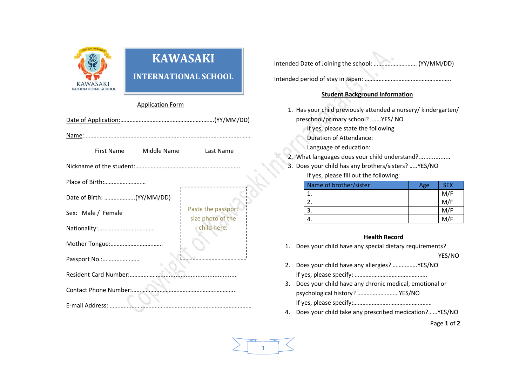

# **KAWASAKI**

# **INTERNATIONAL SCHOOL**

#### Application Form

|                       | First Name                | Middle Name | Last Name                               |  |  |  |
|-----------------------|---------------------------|-------------|-----------------------------------------|--|--|--|
|                       |                           |             |                                         |  |  |  |
| Place of Birth:       |                           |             |                                         |  |  |  |
|                       | Date of Birth: (YY/MM/DD) |             |                                         |  |  |  |
|                       | Sex: Male / Female        |             | Paste the passport<br>size photo of the |  |  |  |
|                       |                           |             | child here.                             |  |  |  |
|                       |                           |             |                                         |  |  |  |
| Passport No.:         |                           |             |                                         |  |  |  |
| Resident Card Number: |                           |             |                                         |  |  |  |
| Contact Phone Number: |                           |             |                                         |  |  |  |
| E-mail Address:       |                           |             |                                         |  |  |  |

Intended period of stay in Japan: ………………………………………………..

# **Student Background Information**

- 1. Has your child previously attended a nursery/ kindergarten/ preschool/primary school? ……YES/ NO
	- If yes, please state the following
	- Duration of Attendance:
	- Language of education:
- 2. What languages does your child understand?...................
- 3. Does your child has any brothers/sisters? …..YES/NO

If yes, please fill out the following:

| Name of brother/sister | Age | <b>SEX</b> |
|------------------------|-----|------------|
|                        |     | M/F        |
|                        |     | M/F        |
|                        |     | M/F        |
|                        |     |            |

## **Health Record**

- 1. Does your child have any special dietary requirements? YES/NO
- 2. Does your child have any allergies? …………….YES/NO If yes, please specify: ………………………………………..
- 3. Does your child have any chronic medical, emotional or psychological history? ………………………YES/NO If yes, please specify:……………………………………………
- 4. Does your child take any prescribed medication?……YES/NO

Page **1** of **2**